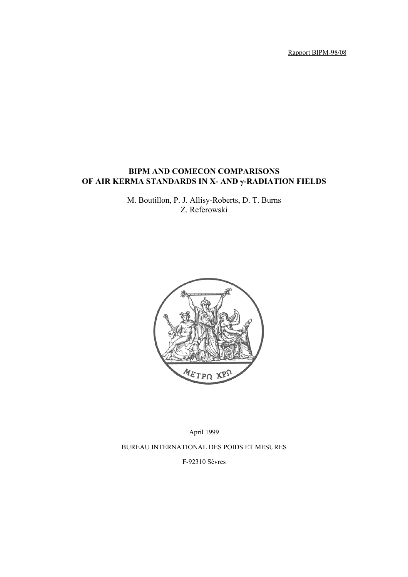Rapport BIPM-98/08

# **BIPM AND COMECON COMPARISONS OF AIR KERMA STANDARDS IN X- AND** γ**-RADIATION FIELDS**

M. Boutillon, P. J. Allisy-Roberts, D. T. Burns Z. Referowski



April 1999 BUREAU INTERNATIONAL DES POIDS ET MESURES F-92310 Sèvres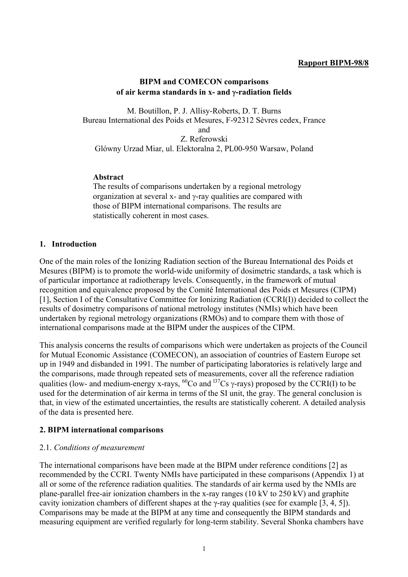#### **Rapport BIPM-98/8**

#### **BIPM and COMECON comparisons of air kerma standards in x- and** γ**-radiation fields**

M. Boutillon, P. J. Allisy-Roberts, D. T. Burns Bureau International des Poids et Mesures, F-92312 Sèvres cedex, France and Z. Referowski Glówny Urzad Miar, ul. Elektoralna 2, PL00-950 Warsaw, Poland

### **Abstract**

The results of comparisons undertaken by a regional metrology organization at several x- and  $\gamma$ -ray qualities are compared with those of BIPM international comparisons. The results are statistically coherent in most cases.

### **1. Introduction**

One of the main roles of the Ionizing Radiation section of the Bureau International des Poids et Mesures (BIPM) is to promote the world-wide uniformity of dosimetric standards, a task which is of particular importance at radiotherapy levels. Consequently, in the framework of mutual recognition and equivalence proposed by the Comité International des Poids et Mesures (CIPM) [1], Section I of the Consultative Committee for Ionizing Radiation (CCRI(I)) decided to collect the results of dosimetry comparisons of national metrology institutes (NMIs) which have been undertaken by regional metrology organizations (RMOs) and to compare them with those of international comparisons made at the BIPM under the auspices of the CIPM.

This analysis concerns the results of comparisons which were undertaken as projects of the Council for Mutual Economic Assistance (COMECON), an association of countries of Eastern Europe set up in 1949 and disbanded in 1991. The number of participating laboratories is relatively large and the comparisons, made through repeated sets of measurements, cover all the reference radiation qualities (low- and medium-energy x-rays,  ${}^{60}Co$  and  ${}^{137}Cs$  γ-rays) proposed by the CCRI(I) to be used for the determination of air kerma in terms of the SI unit, the gray. The general conclusion is that, in view of the estimated uncertainties, the results are statistically coherent. A detailed analysis of the data is presented here.

### **2. BIPM international comparisons**

### 2.1. *Conditions of measurement*

The international comparisons have been made at the BIPM under reference conditions [2] as recommended by the CCRI. Twenty NMIs have participated in these comparisons (Appendix 1) at all or some of the reference radiation qualities. The standards of air kerma used by the NMIs are plane-parallel free-air ionization chambers in the x-ray ranges (10 kV to 250 kV) and graphite cavity ionization chambers of different shapes at the γ-ray qualities (see for example [3, 4, 5]). Comparisons may be made at the BIPM at any time and consequently the BIPM standards and measuring equipment are verified regularly for long-term stability. Several Shonka chambers have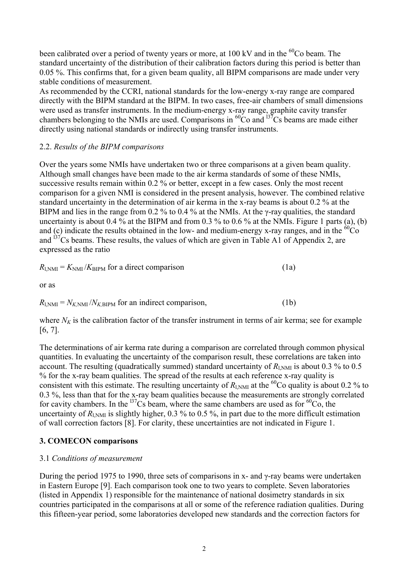been calibrated over a period of twenty years or more, at  $100 \text{ kV}$  and in the <sup>60</sup>Co beam. The standard uncertainty of the distribution of their calibration factors during this period is better than 0.05 %. This confirms that, for a given beam quality, all BIPM comparisons are made under very stable conditions of measurement.

As recommended by the CCRI, national standards for the low-energy x-ray range are compared directly with the BIPM standard at the BIPM. In two cases, free-air chambers of small dimensions were used as transfer instruments. In the medium-energy x-ray range, graphite cavity transfer chambers belonging to the NMIs are used. Comparisons in  ${}^{60}Co$  and  ${}^{137}Cs$  beams are made either directly using national standards or indirectly using transfer instruments.

### 2.2. *Results of the BIPM comparisons*

Over the years some NMIs have undertaken two or three comparisons at a given beam quality. Although small changes have been made to the air kerma standards of some of these NMIs, successive results remain within 0.2 % or better, except in a few cases. Only the most recent comparison for a given NMI is considered in the present analysis, however. The combined relative standard uncertainty in the determination of air kerma in the x-ray beams is about 0.2 % at the BIPM and lies in the range from 0.2 % to 0.4 % at the NMIs. At the  $\gamma$ -ray qualities, the standard uncertainty is about 0.4 % at the BIPM and from 0.3 % to 0.6 % at the NMIs. Figure 1 parts (a), (b) and (c) indicate the results obtained in the low- and medium-energy x-ray ranges, and in the  ${}^{60}Co$ and  $137Cs$  beams. These results, the values of which are given in Table A1 of Appendix 2, are expressed as the ratio

$$
R_{1,\text{NMI}} = K_{\text{NMI}} / K_{\text{BIPM}}
$$
 for a direct comparison (1a)

$$
R_{1, \text{NMI}} = N_{K, \text{NMI}} / N_{K, \text{BIPM}}
$$
 for an indirect comparison, (1b)

where  $N_K$  is the calibration factor of the transfer instrument in terms of air kerma; see for example [6, 7].

The determinations of air kerma rate during a comparison are correlated through common physical quantities. In evaluating the uncertainty of the comparison result, these correlations are taken into account. The resulting (quadratically summed) standard uncertainty of  $R_{1,\text{NMI}}$  is about 0.3 % to 0.5 % for the x-ray beam qualities. The spread of the results at each reference x-ray quality is consistent with this estimate. The resulting uncertainty of  $R_{N_M}$  at the <sup>60</sup>Co quality is about 0.2 % to 0.3 %, less than that for the x-ray beam qualities because the measurements are strongly correlated for cavity chambers. In the  $\frac{137}{2}$ Cs beam, where the same chambers are used as for  $\frac{60}{2}$ Co, the uncertainty of  $R_{1, NMI}$  is slightly higher, 0.3 % to 0.5 %, in part due to the more difficult estimation of wall correction factors [8]. For clarity, these uncertainties are not indicated in Figure 1.

### **3. COMECON comparisons**

### 3.1 *Conditions of measurement*

During the period 1975 to 1990, three sets of comparisons in x- and γ-ray beams were undertaken in Eastern Europe [9]. Each comparison took one to two years to complete. Seven laboratories (listed in Appendix 1) responsible for the maintenance of national dosimetry standards in six countries participated in the comparisons at all or some of the reference radiation qualities. During this fifteen-year period, some laboratories developed new standards and the correction factors for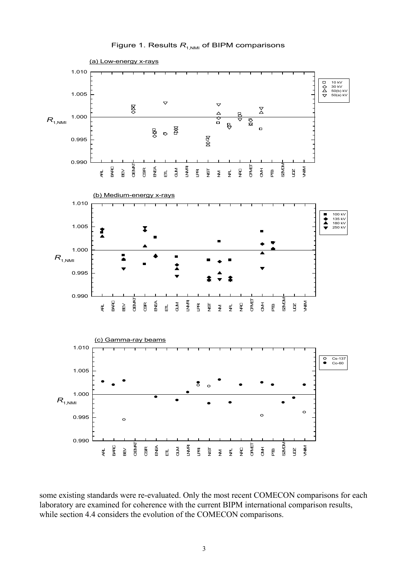

Figure 1. Results  $R_{1,NM}$  of BIPM comparisons

some existing standards were re-evaluated. Only the most recent COMECON comparisons for each laboratory are examined for coherence with the current BIPM international comparison results,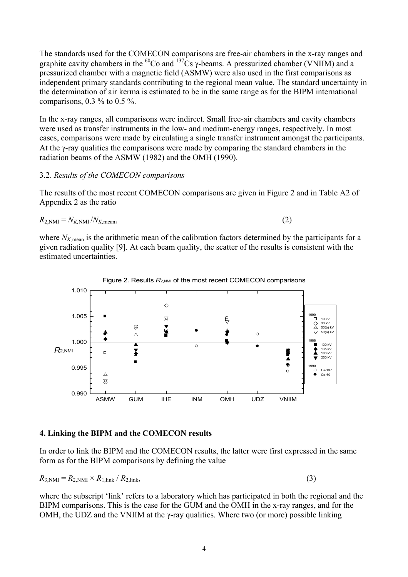The standards used for the COMECON comparisons are free-air chambers in the x-ray ranges and graphite cavity chambers in the <sup>60</sup>Co and <sup>137</sup>Cs  $\gamma$ -beams. A pressurized chamber (VNIIM) and a pressurized chamber with a magnetic field (ASMW) were also used in the first comparisons as independent primary standards contributing to the regional mean value. The standard uncertainty in the determination of air kerma is estimated to be in the same range as for the BIPM international comparisons,  $0.3\%$  to  $0.5\%$ .

In the x-ray ranges, all comparisons were indirect. Small free-air chambers and cavity chambers were used as transfer instruments in the low- and medium-energy ranges, respectively. In most cases, comparisons were made by circulating a single transfer instrument amongst the participants. At the γ-ray qualities the comparisons were made by comparing the standard chambers in the radiation beams of the ASMW (1982) and the OMH (1990).

### 3.2. *Results of the COMECON comparisons*

The results of the most recent COMECON comparisons are given in Figure 2 and in Table A2 of Appendix 2 as the ratio

$$
R_{2,\text{NMI}} = N_{K,\text{NMI}} / N_{K,\text{mean}},\tag{2}
$$

where  $N_{K,mean}$  is the arithmetic mean of the calibration factors determined by the participants for a given radiation quality [9]. At each beam quality, the scatter of the results is consistent with the estimated uncertainties.





### **4. Linking the BIPM and the COMECON results**

In order to link the BIPM and the COMECON results, the latter were first expressed in the same form as for the BIPM comparisons by defining the value

$$
R_{3, \text{NMI}} = R_{2, \text{NMI}} \times R_{1, \text{link}} / R_{2, \text{link}},
$$
\n(3)

where the subscript 'link' refers to a laboratory which has participated in both the regional and the BIPM comparisons. This is the case for the GUM and the OMH in the x-ray ranges, and for the OMH, the UDZ and the VNIIM at the  $\gamma$ -ray qualities. Where two (or more) possible linking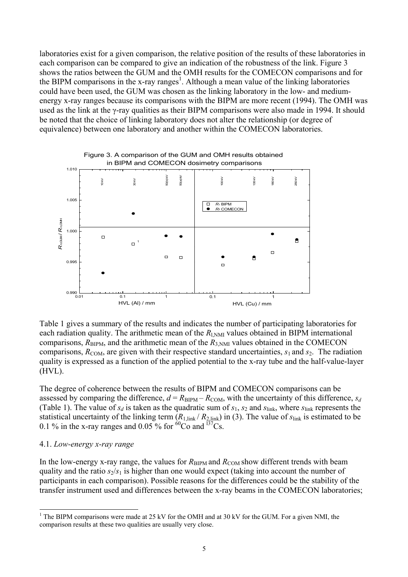laboratories exist for a given comparison, the relative position of the results of these laboratories in each comparison can be compared to give an indication of the robustness of the link. Figure 3 shows the ratios between the GUM and the OMH results for the COMECON comparisons and for the BIPM comparisons in the x-ray ranges<sup>1</sup>. Although a mean value of the linking laboratories could have been used, the GUM was chosen as the linking laboratory in the low- and mediumenergy x-ray ranges because its comparisons with the BIPM are more recent (1994). The OMH was used as the link at the γ-ray qualities as their BIPM comparisons were also made in 1994. It should be noted that the choice of linking laboratory does not alter the relationship (or degree of equivalence) between one laboratory and another within the COMECON laboratories.



Table 1 gives a summary of the results and indicates the number of participating laboratories for each radiation quality. The arithmetic mean of the  $R_{N-M}$  values obtained in BIPM international comparisons,  $R_{\text{BIPM}}$ , and the arithmetic mean of the  $R_{3,\text{NMI}}$  values obtained in the COMECON comparisons,  $R_{COM}$ , are given with their respective standard uncertainties,  $s_1$  and  $s_2$ . The radiation quality is expressed as a function of the applied potential to the x-ray tube and the half-value-layer (HVL).

The degree of coherence between the results of BIPM and COMECON comparisons can be assessed by comparing the difference,  $d = R_{\text{BIPM}} - R_{\text{COM}}$ , with the uncertainty of this difference,  $s_d$ (Table 1). The value of  $s_d$  is taken as the quadratic sum of  $s_1$ ,  $s_2$  and  $s_{\text{link}}$ , where  $s_{\text{link}}$  represents the statistical uncertainty of the linking term  $(R_{1,\text{link}}/R_{2,\text{link}})$  in (3). The value of  $s_{\text{link}}$  is estimated to be 0.1 % in the x-ray ranges and 0.05 % for  ${}^{60}Co$  and  ${}^{137}Cs$ .

#### 4.1. *Low-energy x-ray range*

l

In the low-energy x-ray range, the values for  $R_{\text{BIPM}}$  and  $R_{\text{COM}}$  show different trends with beam quality and the ratio  $s_2/s_1$  is higher than one would expect (taking into account the number of participants in each comparison). Possible reasons for the differences could be the stability of the transfer instrument used and differences between the x-ray beams in the COMECON laboratories;

<sup>&</sup>lt;sup>1</sup> The BIPM comparisons were made at 25 kV for the OMH and at 30 kV for the GUM. For a given NMI, the comparison results at these two qualities are usually very close.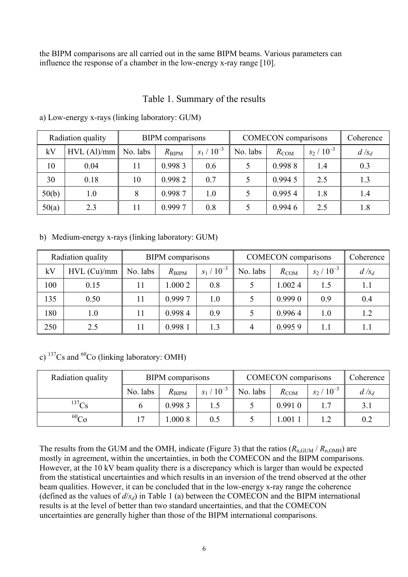the BIPM comparisons are all carried out in the same BIPM beams. Various parameters can influence the response of a chamber in the low-energy x-ray range [10].

## Table 1. Summary of the results

| Radiation quality |               | <b>BIPM</b> comparisons |                |               | <b>COMECON</b> comparisons |           | Coherence     |         |
|-------------------|---------------|-------------------------|----------------|---------------|----------------------------|-----------|---------------|---------|
| kV                | $HVL$ (Al)/mm | No. labs                | $R_{\rm BIPM}$ | $s_1/10^{-3}$ | No. labs                   | $R_{COM}$ | $s_2/10^{-3}$ | $d/s_d$ |
| 10                | 0.04          |                         | 0.9983         | 0.6           |                            | 0.9988    | 1.4           | 0.3     |
| 30                | 0.18          | 10                      | 0.9982         | 0.7           |                            | 0.9945    | 2.5           | 1.3     |
| 50(b)             | 1.0           | 8                       | 0.9987         | 1.0           |                            | 0.9954    | 1.8           | 1.4     |
| 50(a)             | 2.3           |                         | 0.9997         | 0.8           |                            | 0.9946    | 2.5           | 1.8     |

a) Low-energy x-rays (linking laboratory: GUM)

b) Medium-energy x-rays (linking laboratory: GUM)

|     | Radiation quality | <b>BIPM</b> comparisons |                |               | <b>COMECON</b> comparisons | Coherence |               |         |
|-----|-------------------|-------------------------|----------------|---------------|----------------------------|-----------|---------------|---------|
| kV  | $HVL$ (Cu)/mm     | No. labs                | $R_{\rm BIPM}$ | $s_1/10^{-3}$ | No. labs                   | $R_{COM}$ | $s_2/10^{-3}$ | $d/s_d$ |
| 100 | 0.15              | 11                      | 1.000 2        | 0.8           |                            | 1.0024    | 1.5           | 1.1     |
| 135 | 0.50              | 11                      | 0.9997         | 1.0           |                            | 0.9990    | 0.9           | 0.4     |
| 180 | 1.0               | 11                      | 0.9984         | 0.9           |                            | 0.9964    | 1.0           | 1.2     |
| 250 | 2.5               | 11                      | 0.9981         | 1.3           | 4                          | 0.9959    | 1.1           | 1.1     |

c)  $137Cs$  and  $60Co$  (linking laboratory: OMH)

| Radiation quality | BIPM comparisons |                |               | <b>COMECON</b> comparisons | Coherence |               |         |
|-------------------|------------------|----------------|---------------|----------------------------|-----------|---------------|---------|
|                   | No. labs         | $R_{\rm BIPM}$ | $s_1/10^{-3}$ | No. labs                   | $R_{COM}$ | $s_2/10^{-3}$ | $d/s_d$ |
| $^{137}$ Cs       |                  | 0.9983         |               |                            | 0.9910    |               | 3.1     |
| $^{60}Co$         | 7                | .0008          | 0.5           |                            | $1.001$ . |               | 0.2     |

The results from the GUM and the OMH, indicate (Figure 3) that the ratios  $(R_{n\text{ GUM}}/R_{n\text{ OMH}})$  are mostly in agreement, within the uncertainties, in both the COMECON and the BIPM comparisons. However, at the 10 kV beam quality there is a discrepancy which is larger than would be expected from the statistical uncertainties and which results in an inversion of the trend observed at the other beam qualities. However, it can be concluded that in the low-energy x-ray range the coherence (defined as the values of  $d/s_d$ ) in Table 1 (a) between the COMECON and the BIPM international results is at the level of better than two standard uncertainties, and that the COMECON uncertainties are generally higher than those of the BIPM international comparisons.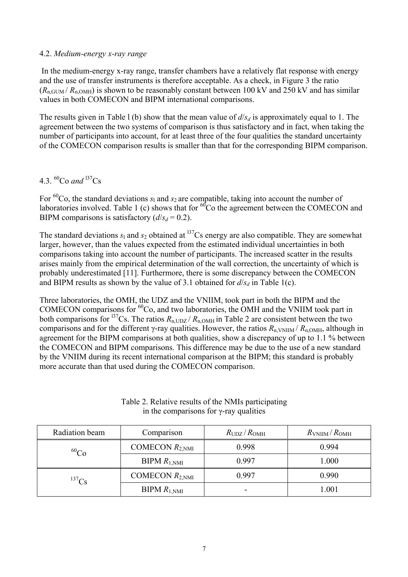#### 4.2. *Medium-energy x-ray range*

 In the medium-energy x-ray range, transfer chambers have a relatively flat response with energy and the use of transfer instruments is therefore acceptable. As a check, in Figure 3 the ratio  $(R_{n, GUM}/R_{n, OMH})$  is shown to be reasonably constant between 100 kV and 250 kV and has similar values in both COMECON and BIPM international comparisons.

The results given in Table 1 (b) show that the mean value of  $d/s_d$  is approximately equal to 1. The agreement between the two systems of comparison is thus satisfactory and in fact, when taking the number of participants into account, for at least three of the four qualities the standard uncertainty of the COMECON comparison results is smaller than that for the corresponding BIPM comparison.

# 4.3.  ${}^{60}Co$  and <sup>137</sup>Cs

For <sup>60</sup>Co, the standard deviations  $s_1$  and  $s_2$  are compatible, taking into account the number of laboratories involved. Table 1 (c) shows that for  $^{60}$ Co the agreement between the COMECON and BIPM comparisons is satisfactory  $(d/s_d = 0.2)$ .

The standard deviations  $s_1$  and  $s_2$  obtained at <sup>137</sup>Cs energy are also compatible. They are somewhat larger, however, than the values expected from the estimated individual uncertainties in both comparisons taking into account the number of participants. The increased scatter in the results arises mainly from the empirical determination of the wall correction, the uncertainty of which is probably underestimated [11]. Furthermore, there is some discrepancy between the COMECON and BIPM results as shown by the value of 3.1 obtained for  $d/s_d$  in Table 1(c).

Three laboratories, the OMH, the UDZ and the VNIIM, took part in both the BIPM and the COMECON comparisons for 60Co, and two laboratories, the OMH and the VNIIM took part in both comparisons for <sup>137</sup>Cs. The ratios  $R_{\text{n,UDZ}}/R_{\text{n,OMH}}$  in Table 2 are consistent between the two comparisons and for the different γ-ray qualities. However, the ratios  $R_{n, VNIIM} / R_{n, OMH}$ , although in agreement for the BIPM comparisons at both qualities, show a discrepancy of up to 1.1 % between the COMECON and BIPM comparisons. This difference may be due to the use of a new standard by the VNIIM during its recent international comparison at the BIPM; this standard is probably more accurate than that used during the COMECON comparison.

| Radiation beam | Comparison                 | $R_{UDZ}/R_{OMH}$ | $R_{\rm VNIIM}/R_{\rm OMH}$ |
|----------------|----------------------------|-------------------|-----------------------------|
| $^{60}Co$      | COMECON $R_{2,\text{NMI}}$ | 0.998             | 0.994                       |
|                | $BIPM R_{1,NMI}$           | 0.997             | 1.000                       |
| $^{137}Cs$     | COMECON $R_{2,\text{NMI}}$ | 0.997             | 0.990                       |
|                | $BIPM R_{1,NMI}$           | -                 | 1.001                       |

### Table 2. Relative results of the NMIs participating in the comparisons for γ-ray qualities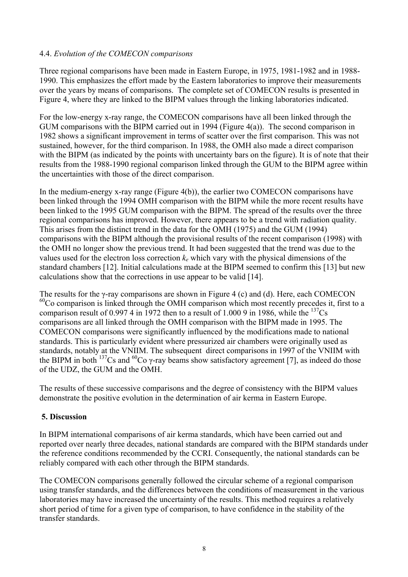### 4.4. *Evolution of the COMECON comparisons*

Three regional comparisons have been made in Eastern Europe, in 1975, 1981-1982 and in 1988- 1990. This emphasizes the effort made by the Eastern laboratories to improve their measurements over the years by means of comparisons. The complete set of COMECON results is presented in Figure 4, where they are linked to the BIPM values through the linking laboratories indicated.

For the low-energy x-ray range, the COMECON comparisons have all been linked through the GUM comparisons with the BIPM carried out in 1994 (Figure 4(a)). The second comparison in 1982 shows a significant improvement in terms of scatter over the first comparison. This was not sustained, however, for the third comparison. In 1988, the OMH also made a direct comparison with the BIPM (as indicated by the points with uncertainty bars on the figure). It is of note that their results from the 1988-1990 regional comparison linked through the GUM to the BIPM agree within the uncertainties with those of the direct comparison.

In the medium-energy x-ray range (Figure 4(b)), the earlier two COMECON comparisons have been linked through the 1994 OMH comparison with the BIPM while the more recent results have been linked to the 1995 GUM comparison with the BIPM. The spread of the results over the three regional comparisons has improved. However, there appears to be a trend with radiation quality. This arises from the distinct trend in the data for the OMH (1975) and the GUM (1994) comparisons with the BIPM although the provisional results of the recent comparison (1998) with the OMH no longer show the previous trend. It had been suggested that the trend was due to the values used for the electron loss correction *ke* which vary with the physical dimensions of the standard chambers [12]. Initial calculations made at the BIPM seemed to confirm this [13] but new calculations show that the corrections in use appear to be valid [14].

The results for the γ-ray comparisons are shown in Figure 4 (c) and (d). Here, each COMECON  $60C$  comparison is linked through the OMH comparison which most recently precedes it, first to a comparison result of 0.997 4 in 1972 then to a result of 1.000 9 in 1986, while the  $^{137}Cs$ comparisons are all linked through the OMH comparison with the BIPM made in 1995. The COMECON comparisons were significantly influenced by the modifications made to national standards. This is particularly evident where pressurized air chambers were originally used as standards, notably at the VNIIM. The subsequent direct comparisons in 1997 of the VNIIM with the BIPM in both <sup>137</sup>Cs and <sup>60</sup>Co γ-ray beams show satisfactory agreement [7], as indeed do those of the UDZ, the GUM and the OMH.

The results of these successive comparisons and the degree of consistency with the BIPM values demonstrate the positive evolution in the determination of air kerma in Eastern Europe.

### **5. Discussion**

In BIPM international comparisons of air kerma standards, which have been carried out and reported over nearly three decades, national standards are compared with the BIPM standards under the reference conditions recommended by the CCRI. Consequently, the national standards can be reliably compared with each other through the BIPM standards.

The COMECON comparisons generally followed the circular scheme of a regional comparison using transfer standards, and the differences between the conditions of measurement in the various laboratories may have increased the uncertainty of the results. This method requires a relatively short period of time for a given type of comparison, to have confidence in the stability of the transfer standards.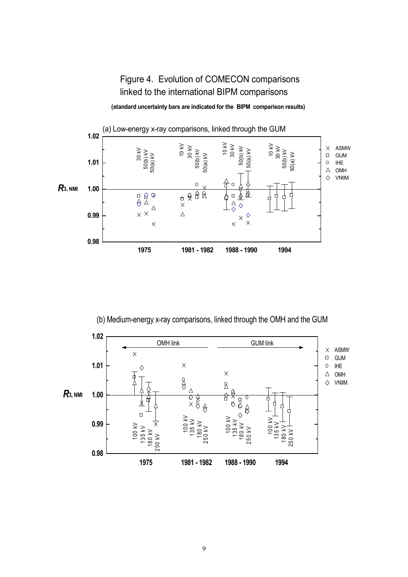# Figure 4. Evolution of COMECON comparisons linked to the international BIPM comparisons

**(standard uncertainty bars are indicated for the BIPM comparison results)**



(b) Medium-energy x-ray comparisons, linked through the OMH and the GUM

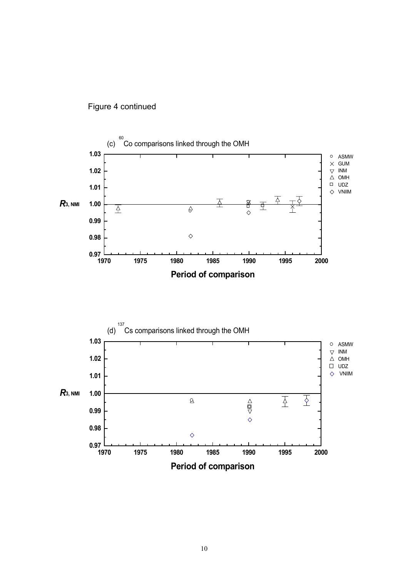





**Period of comparison**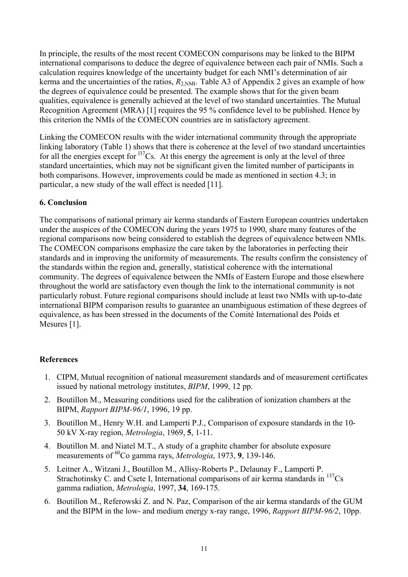In principle, the results of the most recent COMECON comparisons may be linked to the BIPM international comparisons to deduce the degree of equivalence between each pair of NMIs. Such a calculation requires knowledge of the uncertainty budget for each NMI's determination of air kerma and the uncertainties of the ratios,  $R_{2,NML}$ . Table A3 of Appendix 2 gives an example of how the degrees of equivalence could be presented. The example shows that for the given beam qualities, equivalence is generally achieved at the level of two standard uncertainties. The Mutual Recognition Agreement (MRA) [1] requires the 95 % confidence level to be published. Hence by this criterion the NMIs of the COMECON countries are in satisfactory agreement.

Linking the COMECON results with the wider international community through the appropriate linking laboratory (Table 1) shows that there is coherence at the level of two standard uncertainties for all the energies except for  $137$ Cs. At this energy the agreement is only at the level of three standard uncertainties, which may not be significant given the limited number of participants in both comparisons. However, improvements could be made as mentioned in section 4.3; in particular, a new study of the wall effect is needed [11].

### **6. Conclusion**

The comparisons of national primary air kerma standards of Eastern European countries undertaken under the auspices of the COMECON during the years 1975 to 1990, share many features of the regional comparisons now being considered to establish the degrees of equivalence between NMIs. The COMECON comparisons emphasize the care taken by the laboratories in perfecting their standards and in improving the uniformity of measurements. The results confirm the consistency of the standards within the region and, generally, statistical coherence with the international community. The degrees of equivalence between the NMIs of Eastern Europe and those elsewhere throughout the world are satisfactory even though the link to the international community is not particularly robust. Future regional comparisons should include at least two NMIs with up-to-date international BIPM comparison results to guarantee an unambiguous estimation of these degrees of equivalence, as has been stressed in the documents of the Comité International des Poids et Mesures [1].

### **References**

- 1. CIPM, Mutual recognition of national measurement standards and of measurement certificates issued by national metrology institutes, *BIPM*, 1999, 12 pp.
- 2. Boutillon M., Measuring conditions used for the calibration of ionization chambers at the BIPM, *Rapport BIPM-96/1*, 1996, 19 pp.
- 3. Boutillon M., Henry W.H. and Lamperti P.J., Comparison of exposure standards in the 10- 50 kV X-ray region, *Metrologia*, 1969, **5**, 1-11.
- 4. Boutillon M. and Niatel M.T., A study of a graphite chamber for absolute exposure measurements of <sup>60</sup>Co gamma rays, *Metrologia*, 1973, 9, 139-146.
- 5. Leitner A., Witzani J., Boutillon M., Allisy-Roberts P., Delaunay F., Lamperti P. Strachotinsky C. and Csete I, International comparisons of air kerma standards in  $^{137}Cs$ gamma radiation, *Metrologia*, 1997, **34**, 169-175.
- 6. Boutillon M., Referowski Z. and N. Paz, Comparison of the air kerma standards of the GUM and the BIPM in the low- and medium energy x-ray range, 1996, *Rapport BIPM-96/2*, 10pp.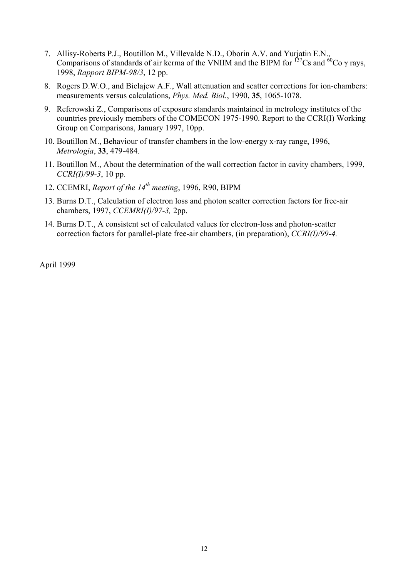- 7. Allisy-Roberts P.J., Boutillon M., Villevalde N.D., Oborin A.V. and Yurjatin E.N., Comparisons of standards of air kerma of the VNIIM and the BIPM for  $^{137}Cs$  and  $^{60}Co$   $\gamma$  rays, 1998, *Rapport BIPM-98/3*, 12 pp.
- 8. Rogers D.W.O., and Bielajew A.F., Wall attenuation and scatter corrections for ion-chambers: measurements versus calculations, *Phys. Med. Biol.*, 1990, **35**, 1065-1078.
- 9. Referowski Z., Comparisons of exposure standards maintained in metrology institutes of the countries previously members of the COMECON 1975-1990. Report to the CCRI(I) Working Group on Comparisons, January 1997, 10pp.
- 10. Boutillon M., Behaviour of transfer chambers in the low-energy x-ray range, 1996, *Metrologia*, **33**, 479-484.
- 11. Boutillon M., About the determination of the wall correction factor in cavity chambers, 1999, *CCRI(I)/99-3*, 10 pp.
- 12. CCEMRI, *Report of the 14th meeting*, 1996, R90, BIPM
- 13. Burns D.T., Calculation of electron loss and photon scatter correction factors for free-air chambers, 1997, *CCEMRI(I)/97-3,* 2pp.
- 14. Burns D.T., A consistent set of calculated values for electron-loss and photon-scatter correction factors for parallel-plate free-air chambers, (in preparation), *CCRI(I)/99-4.*

April 1999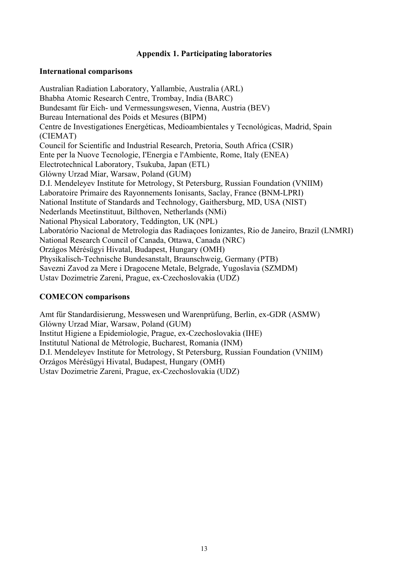### **Appendix 1. Participating laboratories**

#### **International comparisons**

Australian Radiation Laboratory, Yallambie, Australia (ARL) Bhabha Atomic Research Centre, Trombay, India (BARC) Bundesamt für Eich- und Vermessungswesen, Vienna, Austria (BEV) Bureau International des Poids et Mesures (BIPM) Centre de Investigationes Energéticas, Medioambientales y Tecnológicas, Madrid, Spain (CIEMAT) Council for Scientific and Industrial Research, Pretoria, South Africa (CSIR) Ente per la Nuove Tecnologie, I'Energia e l'Ambiente, Rome, Italy (ENEA) Electrotechnical Laboratory, Tsukuba, Japan (ETL) Glówny Urzad Miar, Warsaw, Poland (GUM) D.I. Mendeleyev Institute for Metrology, St Petersburg, Russian Foundation (VNIIM) Laboratoire Primaire des Rayonnements Ionisants, Saclay, France (BNM-LPRI) National Institute of Standards and Technology, Gaithersburg, MD, USA (NIST) Nederlands Meetinstituut, Bilthoven, Netherlands (NMi) National Physical Laboratory, Teddington, UK (NPL) Laboratório Nacional de Metrologia das Radiaçoes Ionizantes, Rio de Janeiro, Brazil (LNMRI) National Research Council of Canada, Ottawa, Canada (NRC) Orzágos Mérésügyi Hivatal, Budapest, Hungary (OMH) Physikalisch-Technische Bundesanstalt, Braunschweig, Germany (PTB) Savezni Zavod za Mere i Dragocene Metale, Belgrade, Yugoslavia (SZMDM) Ustav Dozimetrie Zareni, Prague, ex-Czechoslovakia (UDZ)

### **COMECON comparisons**

Amt für Standardisierung, Messwesen und Warenprüfung, Berlin, ex-GDR (ASMW) Glówny Urzad Miar, Warsaw, Poland (GUM) Institut Higiene a Epidemiologie, Prague, ex-Czechoslovakia (IHE) Institutul National de Métrologie, Bucharest, Romania (INM) D.I. Mendeleyev Institute for Metrology, St Petersburg, Russian Foundation (VNIIM) Orzágos Mérésügyi Hivatal, Budapest, Hungary (OMH) Ustav Dozimetrie Zareni, Prague, ex-Czechoslovakia (UDZ)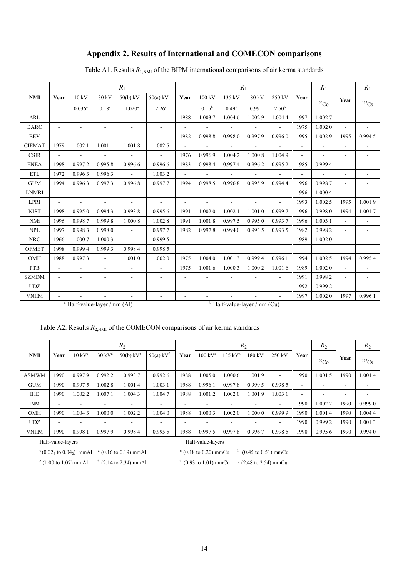## **Appendix 2. Results of International and COMECON comparisons**

|               |                |                          |                          | $R_1$                    |                          |                          |                | $R_1$                                          |                   |                |                          | $R_1$       |                          | $R_1$                    |
|---------------|----------------|--------------------------|--------------------------|--------------------------|--------------------------|--------------------------|----------------|------------------------------------------------|-------------------|----------------|--------------------------|-------------|--------------------------|--------------------------|
| <b>NMI</b>    | Year           | 10 kV                    | 30 kV                    | $50(b)$ kV               | $50(a)$ kV               | Year                     | 100 kV         | 135 kV                                         | 180 kV            | 250 kV         | Year                     |             | Year                     |                          |
|               |                | $0.036^a$                | $0.18^{a}$               | $1.020^a$                | 2.26 <sup>a</sup>        |                          | $0.15^{\rm b}$ | 0.49 <sup>b</sup>                              | 0.99 <sup>b</sup> | $2.50^{b}$     |                          | ${}^{60}Co$ |                          | 137Cs                    |
| ARL           |                | $\blacksquare$           | $\overline{\phantom{a}}$ | $\equiv$                 | $\blacksquare$           | 1988                     | 1.0037         | 1.0046                                         | 1.0029            | 1.0044         | 1997                     | 1.0027      | $\overline{\phantom{a}}$ | $\mathbf{r}$             |
| <b>BARC</b>   |                | $\overline{\phantom{a}}$ | L,                       |                          | $\blacksquare$           |                          |                |                                                |                   | $\blacksquare$ | 1975                     | 1.0020      |                          | $\overline{\phantom{a}}$ |
| <b>BEV</b>    |                |                          |                          |                          |                          | 1982                     | 0.9988         | 0.9980                                         | 0.9979            | 0.9960         | 1995                     | 1.0029      | 1995                     | 0.9945                   |
| <b>CIEMAT</b> | 1979           | 1.0021                   | 1.0011                   | 1.0018                   | 1.0025                   | $\blacksquare$           | $\sim$         |                                                | $\blacksquare$    |                | $\blacksquare$           | ÷           |                          | $\blacksquare$           |
| <b>CSIR</b>   |                | $\blacksquare$           | ÷,                       | $\blacksquare$           | $\overline{\phantom{a}}$ | 1976                     | 0.9969         | 1.0042                                         | 1.000 8           | 1.0049         | $\overline{\phantom{a}}$ |             | $\blacksquare$           | $\overline{\phantom{a}}$ |
| <b>ENEA</b>   | 1998           | 0.9972                   | 0.9958                   | 0.9966                   | 0.9966                   | 1983                     | 0.9984         | 0.9974                                         | 0.9962            | 0.9952         | 1985                     | 0.9994      | $\blacksquare$           | $\overline{\phantom{a}}$ |
| <b>ETL</b>    | 1972           | 0.9963                   | 0.9963                   | $\overline{\phantom{a}}$ | 1.0032                   | $\overline{\phantom{a}}$ | $\blacksquare$ | $\overline{\phantom{0}}$                       | $\blacksquare$    | $\blacksquare$ | $\overline{a}$           |             | $\overline{\phantom{a}}$ | $\overline{\phantom{a}}$ |
| <b>GUM</b>    | 1994           | 0.9963                   | 0.9973                   | 0.9968                   | 0.9977                   | 1994                     | 0.998 5        | 0.9968                                         | 0.9959            | 0.9944         | 1996                     | 0.9987      | $\blacksquare$           | $\overline{\phantom{a}}$ |
| <b>LNMRI</b>  | $\blacksquare$ | $\blacksquare$           | $\blacksquare$           | $\overline{a}$           | $\overline{\phantom{a}}$ | $\overline{a}$           | $\blacksquare$ | ÷,                                             | $\blacksquare$    | $\blacksquare$ | 1996                     | 1.0004      | $\overline{\phantom{a}}$ | $\overline{\phantom{a}}$ |
| <b>LPRI</b>   |                |                          |                          |                          | $\overline{a}$           | $\blacksquare$           |                |                                                |                   | ÷.             | 1993                     | 1.0025      | 1995                     | 1.0019                   |
| <b>NIST</b>   | 1998           | 0.9950                   | 0.9943                   | 0.9938                   | 0.9956                   | 1991                     | 1.0020         | 1.0021                                         | 1.0010            | 0.9997         | 1996                     | 0.9980      | 1994                     | 1.0017                   |
| NMi           | 1996           | 0.9987                   | 0.9998                   | 1.000 8                  | 1.0028                   | 1991                     | 1.0018         | 0.9975                                         | 0.9950            | 0.9937         | 1996                     | 1.003 1     |                          | $\blacksquare$           |
| <b>NPL</b>    | 1997           | 0.9983                   | 0.9980                   | $\mathbf{r}$             | 0.9977                   | 1982                     | 0.9978         | 0.9940                                         | 0.993 5           | 0.993 5        | 1982                     | 0.9982      |                          | $\blacksquare$           |
| <b>NRC</b>    | 1966           | 1.0007                   | 1,0003                   | $\blacksquare$           | 0.999 5                  | $\blacksquare$           | $\blacksquare$ | $\sim$                                         | $\blacksquare$    | $\sim$         | 1989                     | 1.0020      | $\blacksquare$           | $\overline{\phantom{a}}$ |
| <b>OFMET</b>  | 1998           | 0.9994                   | 0.9993                   | 0.9984                   | 0.998 5                  |                          |                |                                                |                   |                |                          |             |                          |                          |
| OMH           | 1988           | 0.9973                   | $\overline{\phantom{a}}$ | 1.0010                   | 1.0020                   | 1975                     | 1.0040         | 1.0013                                         | 0.9994            | 0.9961         | 1994                     | 1.0025      | 1994                     | 0.9954                   |
| <b>PTB</b>    |                | $\overline{\phantom{a}}$ | $\blacksquare$           | $\overline{a}$           | $\overline{\phantom{a}}$ | 1975                     | 1.0016         | 1.0003                                         | 1.000 2           | 1.0016         | 1989                     | 1.0020      | $\sim$                   | $\blacksquare$           |
| <b>SZMDM</b>  | $\blacksquare$ | $\blacksquare$           | $\blacksquare$           | $\blacksquare$           | $\overline{a}$           | $\blacksquare$           | $\blacksquare$ | $\blacksquare$                                 | $\blacksquare$    | $\sim$         | 1991                     | 0.9982      |                          | $\overline{\phantom{a}}$ |
| <b>UDZ</b>    |                |                          |                          |                          | $\overline{\phantom{a}}$ | $\overline{a}$           | $\blacksquare$ |                                                |                   | $\blacksquare$ | 1992                     | 0.9992      |                          | $\overline{\phantom{a}}$ |
| <b>VNIIM</b>  |                |                          | ÷.                       |                          | $\blacksquare$           | ٠                        |                | $\frac{1}{2}$ Helf value layer (mm $(C_{1})$ ) | $\blacksquare$    | $\sim$         | 1997                     | 1.0020      | 1997                     | 0.9961                   |

Table A1. Results  $R_{1,NM}$  of the BIPM international comparisons of air kerma standards

Half-value-layer /mm (Al) <sup>b</sup>

Half-value-layer /mm (Cu)

|  |  | Table A2. Results $R_{2, \text{NM}}$ of the COMECON comparisons of air kerma standards |  |  |
|--|--|----------------------------------------------------------------------------------------|--|--|
|  |  |                                                                                        |  |  |

| $R_2$        |                          |                   |                   |                          |                          |                          |                             | $R_2$                  |                  |                          | $R_2$                    |             | $R_2$ |            |
|--------------|--------------------------|-------------------|-------------------|--------------------------|--------------------------|--------------------------|-----------------------------|------------------------|------------------|--------------------------|--------------------------|-------------|-------|------------|
| <b>NMI</b>   | Year                     | $10 \text{ kV}^c$ | $30 \text{ kV}^d$ | $50(b)$ kV <sup>e</sup>  | $50(a)$ kV <sup>f</sup>  | Year                     | $100 \text{ kV}^{\text{g}}$ | $135~{\rm kV}^{\rm h}$ | $180 \text{ kV}$ | 250 kV                   | Year                     | ${}^{60}Co$ | Year  | $^{137}Cs$ |
| <b>ASMWM</b> | 1990                     | 0.9979            | 0.9922            | 0.9937                   | 0.9926                   | 1988                     | 1.0050                      | 1.000 6                | 1.0019           | $\overline{\phantom{a}}$ | 1990                     | 1.0015      | 1990  | 1.0014     |
| <b>GUM</b>   | 1990                     | 0.997 5           | .0028             | 1.0014                   | 1.003 1                  | 1988                     | 0.9961                      | 0.9978                 | 0.9995           | 0.9985                   | $\overline{\phantom{a}}$ |             | ٠     |            |
| <b>IHE</b>   | 1990                     | 1.0022            | .0071             | 1.0043                   | 1.0047                   | 1988                     | 1.0012                      | .0020                  | 1.0019           | 1.003 1                  | $\overline{\phantom{a}}$ | -           | ۰     |            |
| <b>INM</b>   | $\overline{\phantom{0}}$ |                   |                   | $\overline{\phantom{a}}$ | $\overline{\phantom{a}}$ | $\overline{\phantom{0}}$ |                             |                        |                  | $\overline{\phantom{a}}$ | 1990                     | 1.0022      | 1990  | 0.9990     |
| <b>OMH</b>   | 1990                     | 1.0043            | .0000             | 1.0022                   | 1.004 0                  | 1988                     | 1.000 3                     | 1.0020                 | 1.0000           | 0.9999                   | 1990                     | 1.0014      | 1990  | 1.0044     |
| <b>UDZ</b>   | $\overline{\phantom{0}}$ |                   |                   | $\overline{\phantom{0}}$ | $\overline{\phantom{0}}$ | -                        |                             |                        |                  | $\overline{\phantom{a}}$ | 1990                     | 0.9992      | 1990  | 1.0013     |
| <b>VNIIM</b> | 1990                     | 0.998             | 0.9979            | 0.9984                   | 0.9955                   | 1988                     | 0.9975                      | 0.9978                 | 0.9967           | 0.9985                   | 1990                     | 0.9956      | 1990  | 0.9940     |

Half-value-layers Half-value-layers

<sup>c</sup> (0.02<sub>8</sub> to 0.04<sub>2</sub>) mmAl <sup>d</sup> (0.16 to 0.19) mmAl <sup>g</sup> (0.18 to 0.20) mmCu <sup>h</sup> (0.45 to 0.51) mmCu

 $e$  (1.00 to 1.07) mmAl f (2.14 to 2.34) mmAl

 $(0.93 \text{ to } 1.01) \text{ mmCu}$  i (2.48 to 2.54) mmCu